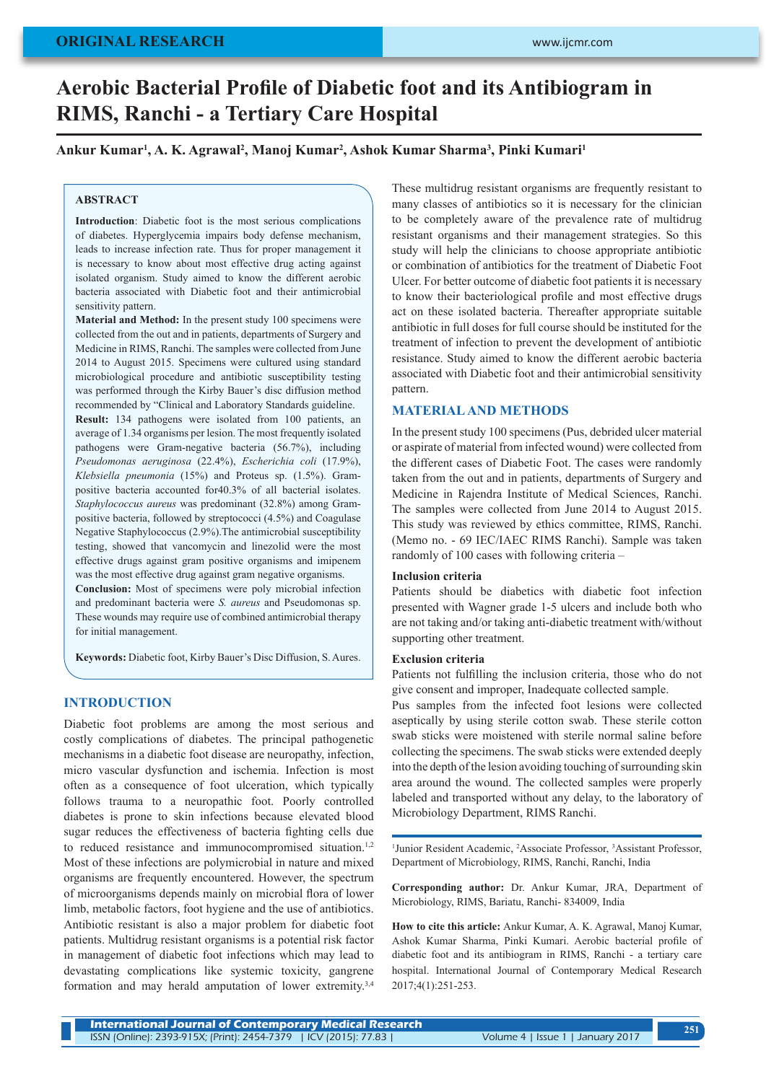# **Aerobic Bacterial Profile of Diabetic foot and its Antibiogram in RIMS, Ranchi - a Tertiary Care Hospital**

## **Ankur Kumar<sup>1</sup> , A. K. Agrawal<sup>2</sup> , Manoj Kumar<sup>2</sup> , Ashok Kumar Sharma<sup>3</sup> , Pinki Kumari<sup>1</sup>**

#### **ABSTRACT**

**Introduction**: Diabetic foot is the most serious complications of diabetes. Hyperglycemia impairs body defense mechanism, leads to increase infection rate. Thus for proper management it is necessary to know about most effective drug acting against isolated organism. Study aimed to know the different aerobic bacteria associated with Diabetic foot and their antimicrobial sensitivity pattern.

**Material and Method:** In the present study 100 specimens were collected from the out and in patients, departments of Surgery and Medicine in RIMS, Ranchi. The samples were collected from June 2014 to August 2015. Specimens were cultured using standard microbiological procedure and antibiotic susceptibility testing was performed through the Kirby Bauer's disc diffusion method recommended by "Clinical and Laboratory Standards guideline.

**Result:** 134 pathogens were isolated from 100 patients, an average of 1.34 organisms per lesion. The most frequently isolated pathogens were Gram-negative bacteria (56.7%), including *Pseudomonas aeruginosa* (22.4%), *Escherichia coli* (17.9%), *Klebsiella pneumonia* (15%) and Proteus sp. (1.5%). Grampositive bacteria accounted for40.3% of all bacterial isolates. *Staphylococcus aureus* was predominant (32.8%) among Grampositive bacteria, followed by streptococci (4.5%) and Coagulase Negative Staphylococcus (2.9%).The antimicrobial susceptibility testing, showed that vancomycin and linezolid were the most effective drugs against gram positive organisms and imipenem was the most effective drug against gram negative organisms.

**Conclusion:** Most of specimens were poly microbial infection and predominant bacteria were *S. aureus* and Pseudomonas sp. These wounds may require use of combined antimicrobial therapy for initial management.

**Keywords:** Diabetic foot, Kirby Bauer's Disc Diffusion, S. Aures.

#### **INTRODUCTION**

Diabetic foot problems are among the most serious and costly complications of diabetes. The principal pathogenetic mechanisms in a diabetic foot disease are neuropathy, infection, micro vascular dysfunction and ischemia. Infection is most often as a consequence of foot ulceration, which typically follows trauma to a neuropathic foot. Poorly controlled diabetes is prone to skin infections because elevated blood sugar reduces the effectiveness of bacteria fighting cells due to reduced resistance and immunocompromised situation.<sup>1,2</sup> Most of these infections are polymicrobial in nature and mixed organisms are frequently encountered. However, the spectrum of microorganisms depends mainly on microbial flora of lower limb, metabolic factors, foot hygiene and the use of antibiotics. Antibiotic resistant is also a major problem for diabetic foot patients. Multidrug resistant organisms is a potential risk factor in management of diabetic foot infections which may lead to devastating complications like systemic toxicity, gangrene formation and may herald amputation of lower extremity.3,4

These multidrug resistant organisms are frequently resistant to many classes of antibiotics so it is necessary for the clinician to be completely aware of the prevalence rate of multidrug resistant organisms and their management strategies. So this study will help the clinicians to choose appropriate antibiotic or combination of antibiotics for the treatment of Diabetic Foot Ulcer. For better outcome of diabetic foot patients it is necessary to know their bacteriological profile and most effective drugs act on these isolated bacteria. Thereafter appropriate suitable antibiotic in full doses for full course should be instituted for the treatment of infection to prevent the development of antibiotic resistance. Study aimed to know the different aerobic bacteria associated with Diabetic foot and their antimicrobial sensitivity pattern.

#### **MATERIAL AND METHODS**

In the present study 100 specimens (Pus, debrided ulcer material or aspirate of material from infected wound) were collected from the different cases of Diabetic Foot. The cases were randomly taken from the out and in patients, departments of Surgery and Medicine in Rajendra Institute of Medical Sciences, Ranchi. The samples were collected from June 2014 to August 2015. This study was reviewed by ethics committee, RIMS, Ranchi. (Memo no. - 69 IEC/IAEC RIMS Ranchi). Sample was taken randomly of 100 cases with following criteria –

#### **Inclusion criteria**

Patients should be diabetics with diabetic foot infection presented with Wagner grade 1-5 ulcers and include both who are not taking and/or taking anti-diabetic treatment with/without supporting other treatment.

#### **Exclusion criteria**

Patients not fulfilling the inclusion criteria, those who do not give consent and improper, Inadequate collected sample.

Pus samples from the infected foot lesions were collected aseptically by using sterile cotton swab. These sterile cotton swab sticks were moistened with sterile normal saline before collecting the specimens. The swab sticks were extended deeply into the depth of the lesion avoiding touching of surrounding skin area around the wound. The collected samples were properly labeled and transported without any delay, to the laboratory of Microbiology Department, RIMS Ranchi.

<sup>1</sup>Junior Resident Academic, <sup>2</sup>Associate Professor, <sup>3</sup>Assistant Professor, Department of Microbiology, RIMS, Ranchi, Ranchi, India

**Corresponding author:** Dr. Ankur Kumar, JRA, Department of Microbiology, RIMS, Bariatu, Ranchi- 834009, India

**How to cite this article:** Ankur Kumar, A. K. Agrawal, Manoj Kumar, Ashok Kumar Sharma, Pinki Kumari. Aerobic bacterial profile of diabetic foot and its antibiogram in RIMS, Ranchi - a tertiary care hospital. International Journal of Contemporary Medical Research 2017;4(1):251-253.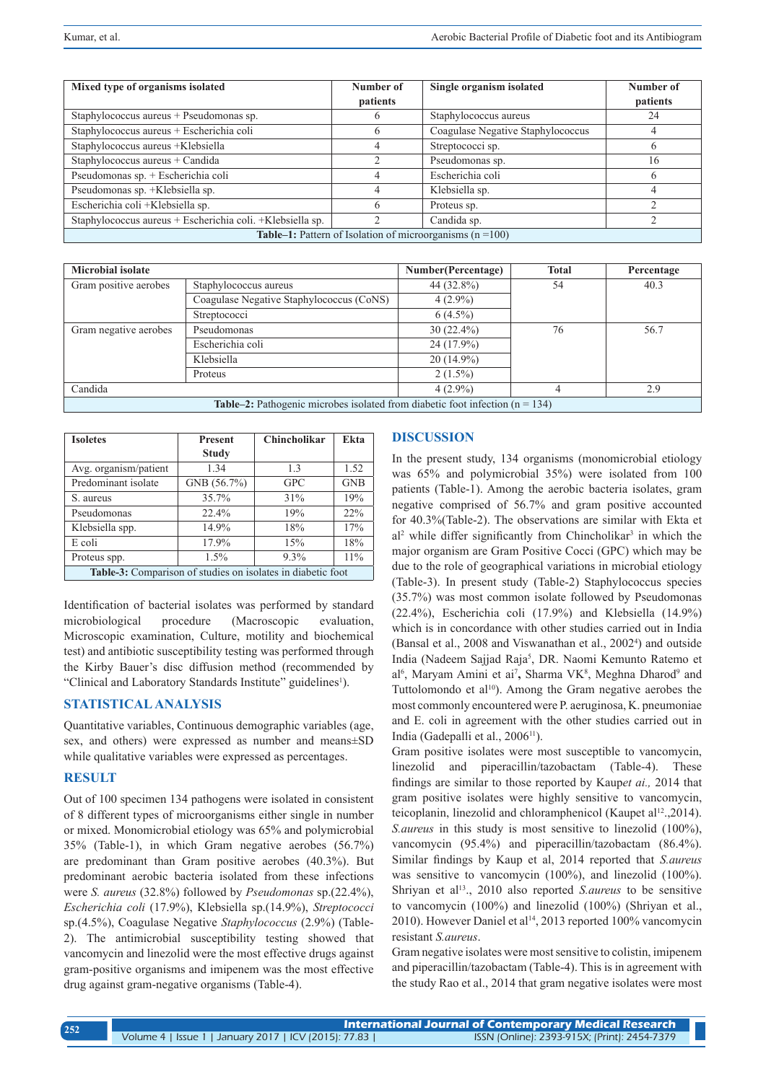| Mixed type of organisms isolated                                   | Number of | Single organism isolated          | Number of |  |  |
|--------------------------------------------------------------------|-----------|-----------------------------------|-----------|--|--|
|                                                                    | patients  |                                   | patients  |  |  |
| Staphylococcus aureus + Pseudomonas sp.                            | O         | Staphylococcus aureus             | 24        |  |  |
| Staphylococcus aureus + Escherichia coli                           | O         | Coagulase Negative Staphylococcus |           |  |  |
| Staphylococcus aureus +Klebsiella                                  | 4         | Streptococci sp.                  |           |  |  |
| Staphylococcus aureus + Candida                                    |           | Pseudomonas sp.                   | 16        |  |  |
| Pseudomonas sp. + Escherichia coli                                 | 4         | Escherichia coli                  |           |  |  |
| Pseudomonas sp. +Klebsiella sp.                                    | 4         | Klebsiella sp.                    |           |  |  |
| Escherichia coli +Klebsiella sp.                                   | h         | Proteus sp.                       |           |  |  |
| Staphylococcus aureus + Escherichia coli. + Klebsiella sp.         |           | Candida sp.                       |           |  |  |
| <b>Table–1:</b> Pattern of Isolation of microorganisms $(n = 100)$ |           |                                   |           |  |  |

| <b>Microbial isolate</b>                                                              |                                          | Number(Percentage) | <b>Total</b> | Percentage |
|---------------------------------------------------------------------------------------|------------------------------------------|--------------------|--------------|------------|
| Gram positive aerobes                                                                 | Staphylococcus aureus                    | 44 (32.8%)         | 54           | 40.3       |
|                                                                                       | Coagulase Negative Staphylococcus (CoNS) | $4(2.9\%)$         |              |            |
|                                                                                       | Streptococci                             | $6(4.5\%)$         |              |            |
| Gram negative aerobes                                                                 | Pseudomonas                              | $30(22.4\%)$       | 76           | 56.7       |
|                                                                                       | Escherichia coli                         | $24(17.9\%)$       |              |            |
|                                                                                       | Klebsiella                               | $20(14.9\%)$       |              |            |
|                                                                                       | Proteus                                  | $2(1.5\%)$         |              |            |
| Candida                                                                               |                                          | $4(2.9\%)$         |              | 2.9        |
| <b>Table–2:</b> Pathogenic microbes isolated from diabetic foot infection $(n = 134)$ |                                          |                    |              |            |

| <b>Isoletes</b>                                             | <b>Present</b> | <b>Chincholikar</b> | Ekta       |  |  |
|-------------------------------------------------------------|----------------|---------------------|------------|--|--|
|                                                             | <b>Study</b>   |                     |            |  |  |
| Avg. organism/patient                                       | 1.34           | 1.3                 | 1.52       |  |  |
| Predominant isolate                                         | GNB(56.7%)     | <b>GPC</b>          | <b>GNB</b> |  |  |
| S. aureus                                                   | 35.7%          | 31%                 | 19%        |  |  |
| Pseudomonas                                                 | 22.4%          | 19%                 | 22%        |  |  |
| Klebsiella spp.                                             | 14.9%          | 18%                 | 17%        |  |  |
| E coli                                                      | 17.9%          | 15%                 | 18%        |  |  |
| Proteus spp.                                                | $1.5\%$        | 9.3%                | 11%        |  |  |
| Table-3: Comparison of studies on isolates in diabetic foot |                |                     |            |  |  |

Identification of bacterial isolates was performed by standard microbiological procedure (Macroscopic evaluation, Microscopic examination, Culture, motility and biochemical test) and antibiotic susceptibility testing was performed through the Kirby Bauer's disc diffusion method (recommended by "Clinical and Laboratory Standards Institute" guidelines<sup>1</sup>).

# **STATISTICAL ANALYSIS**

Quantitative variables, Continuous demographic variables (age, sex, and others) were expressed as number and means±SD while qualitative variables were expressed as percentages.

## **RESULT**

Out of 100 specimen 134 pathogens were isolated in consistent of 8 different types of microorganisms either single in number or mixed. Monomicrobial etiology was 65% and polymicrobial 35% (Table-1), in which Gram negative aerobes (56.7%) are predominant than Gram positive aerobes (40.3%). But predominant aerobic bacteria isolated from these infections were *S. aureus* (32.8%) followed by *Pseudomonas* sp.(22.4%), *Escherichia coli* (17.9%), Klebsiella sp.(14.9%), *Streptococci* sp.(4.5%), Coagulase Negative *Staphylococcus* (2.9%) (Table-2). The antimicrobial susceptibility testing showed that vancomycin and linezolid were the most effective drugs against gram-positive organisms and imipenem was the most effective drug against gram-negative organisms (Table-4).

# **DISCUSSION**

In the present study, 134 organisms (monomicrobial etiology was 65% and polymicrobial 35%) were isolated from 100 patients (Table-1). Among the aerobic bacteria isolates, gram negative comprised of 56.7% and gram positive accounted for 40.3%(Table-2). The observations are similar with Ekta et al<sup>2</sup> while differ significantly from Chincholikar<sup>3</sup> in which the major organism are Gram Positive Cocci (GPC) which may be due to the role of geographical variations in microbial etiology (Table-3). In present study (Table-2) Staphylococcus species (35.7%) was most common isolate followed by Pseudomonas (22.4%), Escherichia coli (17.9%) and Klebsiella (14.9%) which is in concordance with other studies carried out in India (Bansal et al., 2008 and Viswanathan et al., 2002<sup>4</sup>) and outside India (Nadeem Sajjad Raja<sup>5</sup>, DR. Naomi Kemunto Ratemo et al<sup>6</sup>, Maryam Amini et ai<sup>7</sup>, Sharma VK<sup>8</sup>, Meghna Dharod<sup>9</sup> and Tuttolomondo et al<sup>10</sup>). Among the Gram negative aerobes the most commonly encountered were P. aeruginosa, K. pneumoniae and E. coli in agreement with the other studies carried out in India (Gadepalli et al., 2006<sup>11</sup>).

Gram positive isolates were most susceptible to vancomycin, linezolid and piperacillin/tazobactam (Table-4). These findings are similar to those reported by Kaup*et ai.,* 2014 that gram positive isolates were highly sensitive to vancomycin, teicoplanin, linezolid and chloramphenicol (Kaupet al<sup>12</sup>, 2014). *S.aureus* in this study is most sensitive to linezolid (100%), vancomycin (95.4%) and piperacillin/tazobactam (86.4%). Similar findings by Kaup et al, 2014 reported that *S.aureus*  was sensitive to vancomycin (100%), and linezolid (100%). Shriyan et al<sup>13</sup>., 2010 also reported *S.aureus* to be sensitive to vancomycin (100%) and linezolid (100%) (Shriyan et al., 2010). However Daniel et al<sup>14</sup>, 2013 reported 100% vancomycin resistant *S.aureus*.

Gram negative isolates were most sensitive to colistin, imipenem and piperacillin/tazobactam (Table-4). This is in agreement with the study Rao et al., 2014 that gram negative isolates were most